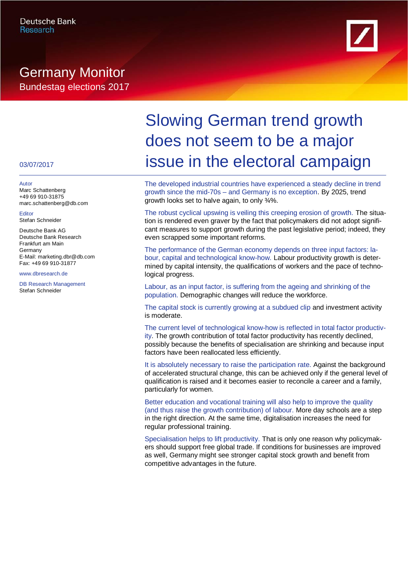# Germany Monitor Bundestag elections 2017



### 03/07/2017

Autor Marc Schattenberg +49 69 910-31875 marc.schattenberg@db.com

Editor Stefan Schneider

Deutsche Bank AG Deutsche Bank Research Frankfurt am Main Germany E-Mail: marketing.dbr@db.com Fax: +49 69 910-31877

www.dbresearch.de

DB Research Management Stefan Schneider

# Slowing German trend growth does not seem to be a major issue in the electoral campaign

The developed industrial countries have experienced a steady decline in trend growth since the mid-70s – and Germany is no exception. By 2025, trend growth looks set to halve again, to only ¾%.

The robust cyclical upswing is veiling this creeping erosion of growth. The situation is rendered even graver by the fact that policymakers did not adopt significant measures to support growth during the past legislative period; indeed, they even scrapped some important reforms.

The performance of the German economy depends on three input factors: labour, capital and technological know-how. Labour productivity growth is determined by capital intensity, the qualifications of workers and the pace of technological progress.

Labour, as an input factor, is suffering from the ageing and shrinking of the population. Demographic changes will reduce the workforce.

The capital stock is currently growing at a subdued clip and investment activity is moderate.

The current level of technological know-how is reflected in total factor productivity. The growth contribution of total factor productivity has recently declined, possibly because the benefits of specialisation are shrinking and because input factors have been reallocated less efficiently.

It is absolutely necessary to raise the participation rate. Against the background of accelerated structural change, this can be achieved only if the general level of qualification is raised and it becomes easier to reconcile a career and a family, particularly for women.

Better education and vocational training will also help to improve the quality (and thus raise the growth contribution) of labour. More day schools are a step in the right direction. At the same time, digitalisation increases the need for regular professional training.

Specialisation helps to lift productivity. That is only one reason why policymakers should support free global trade. If conditions for businesses are improved as well, Germany might see stronger capital stock growth and benefit from competitive advantages in the future.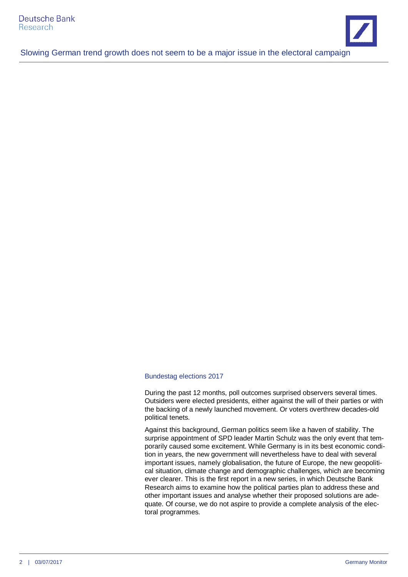

#### Bundestag elections 2017

During the past 12 months, poll outcomes surprised observers several times. Outsiders were elected presidents, either against the will of their parties or with the backing of a newly launched movement. Or voters overthrew decades-old political tenets.

Against this background, German politics seem like a haven of stability. The surprise appointment of SPD leader Martin Schulz was the only event that temporarily caused some excitement. While Germany is in its best economic condition in years, the new government will nevertheless have to deal with several important issues, namely globalisation, the future of Europe, the new geopolitical situation, climate change and demographic challenges, which are becoming ever clearer. This is the first report in a new series, in which Deutsche Bank Research aims to examine how the political parties plan to address these and other important issues and analyse whether their proposed solutions are adequate. Of course, we do not aspire to provide a complete analysis of the electoral programmes.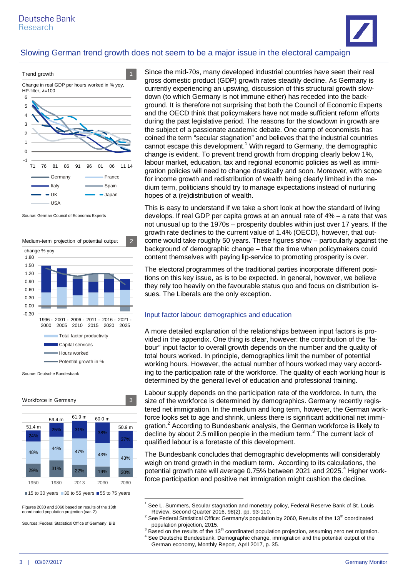



Source: German Council of Economic Experts



Source: Deutsche Bundesbank



 $15$  to 30 years 30 to 55 years  $\blacksquare$  55 to 75 years

Figures 2030 and 2060 based on results of the 13th coordinated population projection (var. 2)

Sources: Federal Statistical Office of Germany, BiB

Since the mid-70s, many developed industrial countries have seen their real gross domestic product (GDP) growth rates steadily decline. As Germany is currently experiencing an upswing, discussion of this structural growth slowdown (to which Germany is not immune either) has receded into the background. It is therefore not surprising that both the Council of Economic Experts and the OECD think that policymakers have not made sufficient reform efforts during the past legislative period. The reasons for the slowdown in growth are the subject of a passionate academic debate. One camp of economists has coined the term "secular stagnation" and believes that the industrial countries cannot escape this development[.](#page-2-0)<sup>1</sup> With regard to Germany, the demographic change is evident. To prevent trend growth from dropping clearly below 1%, labour market, education, tax and regional economic policies as well as immigration policies will need to change drastically and soon. Moreover, with scope for income growth and redistribution of wealth being clearly limited in the medium term, politicians should try to manage expectations instead of nurturing hopes of a (re)distribution of wealth.

This is easy to understand if we take a short look at how the standard of living develops. If real GDP per capita grows at an annual rate of 4% – a rate that was not unusual up to the 1970s – prosperity doubles within just over 17 years. If the growth rate declines to the current value of 1.4% (OECD), however, that outcome would take roughly 50 years. These figures show – particularly against the background of demographic change – that the time when policymakers could content themselves with paying lip-service to promoting prosperity is over.

The electoral programmes of the traditional parties incorporate different positions on this key issue, as is to be expected. In general, however, we believe they rely too heavily on the favourable status quo and focus on distribution issues. The Liberals are the only exception.

#### Input factor labour: demographics and education

A more detailed explanation of the relationships between input factors is provided in the appendix. One thing is clear, however: the contribution of the "labour" input factor to overall growth depends on the number and the quality of total hours worked. In principle, demographics limit the number of potential working hours. However, the actual number of hours worked may vary according to the participation rate of the workforce. The quality of each working hour is determined by the general level of education and professional training.

Labour supply depends on the participation rate of the workforce. In turn, the size of the workforce is determined by demographics. Germany recently registered net immigration. In the medium and long term, however, the German workforce looks set to age and shrink, unless there is significant additional net immi-gration.<sup>[2](#page-2-1)</sup> According to Bundesbank analysis, the German workforce is likely to decline by about 2.5 million people in the medium term. $<sup>3</sup>$  $<sup>3</sup>$  $<sup>3</sup>$  The current lack of</sup> qualified labour is a foretaste of this development.

The Bundesbank concludes that demographic developments will considerably weigh on trend growth in the medium term. According to its calculations, the potential growth rate will average 0.75% between 2021 and 2025.<sup>[4](#page-2-3)</sup> Higher workforce participation and positive net immigration might cushion the decline.

<span id="page-2-0"></span><sup>1</sup> See L. Summers, Secular stagnation and monetary policy, Federal Reserve Bank of St. Louis Review, Second Quarter 2016, 98(2), pp. 93-110.

<span id="page-2-1"></span><sup>2</sup> See Federal Statistical Office: Germany's population by 2060, Results of the 13<sup>th</sup> coordinated population projection, 2015.

<span id="page-2-3"></span><span id="page-2-2"></span> $3$  Based on the results of the 13<sup>th</sup> coordinated population projection, assuming zero net migration. <sup>4</sup> See Deutsche Bundesbank, Demographic change, immigration and the potential output of the German economy, Monthly Report, April 2017, p. 35.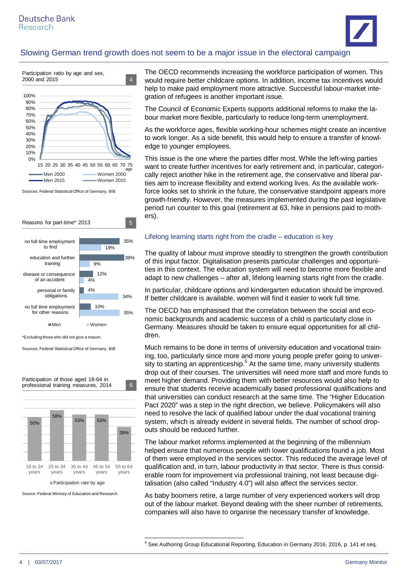



Sources: Federal Statistical Office of Germany, BiB



Sources: Federal Statistical Office of Germany, BiB

50% 58% 53% 53% 39% 18 to 24 years 25 to 34 years 35 to 44 years 45 to 54 years 55 to 64 years Participation rate by age Participation of those aged 18-64 in professional training measures, 2014 6

Source: Federal Ministry of Education and Research

The OECD recommends increasing the workforce participation of women. This would require better childcare options. In addition, income tax incentives would help to make paid employment more attractive. Successful labour-market integration of refugees is another important issue.

The Council of Economic Experts supports additional reforms to make the labour market more flexible, particularly to reduce long-term unemployment.

As the workforce ages, flexible working-hour schemes might create an incentive to work longer. As a side benefit, this would help to ensure a transfer of knowledge to younger employees.

This issue is the one where the parties differ most. While the left-wing parties want to create further incentives for early retirement and, in particular, categorically reject another hike in the retirement age, the conservative and liberal parties aim to increase flexibility and extend working lives. As the available workforce looks set to shrink in the future, the conservative standpoint appears more growth-friendly. However, the measures implemented during the past legislative period run counter to this goal (retirement at 63, hike in pensions paid to mothers).

#### Lifelong learning starts right from the cradle – education is key

The quality of labour must improve steadily to strengthen the growth contribution of this input factor. Digitalisation presents particular challenges and opportunities in this context. The education system will need to become more flexible and adapt to new challenges – after all, lifelong learning starts right from the cradle.

In particular, childcare options and kindergarten education should be improved. If better childcare is available, women will find it easier to work full time.

The OECD has emphasised that the correlation between the social and economic backgrounds and academic success of a child is particularly close in Germany. Measures should be taken to ensure equal opportunities for all children.

Much remains to be done in terms of university education and vocational training, too, particularly since more and more young people prefer going to univer-sity to starting an apprenticeship.<sup>[5](#page-3-0)</sup> At the same time, many university students drop out of their courses. The universities will need more staff and more funds to meet higher demand. Providing them with better resources would also help to ensure that students receive academically based professional qualifications and that universities can conduct research at the same time. The "Higher Education Pact 2020" was a step in the right direction, we believe. Policymakers will also need to resolve the lack of qualified labour under the dual vocational training system, which is already evident in several fields. The number of school dropouts should be reduced further.

The labour market reforms implemented at the beginning of the millennium helped ensure that numerous people with lower qualifications found a job. Most of them were employed in the services sector. This reduced the average level of qualification and, in turn, labour productivity in that sector. There is thus considerable room for improvement via professional training, not least because digitalisation (also called "Industry 4.0") will also affect the services sector.

As baby boomers retire, a large number of very experienced workers will drop out of the labour market. Beyond dealing with the sheer number of retirements, companies will also have to organise the necessary transfer of knowledge.

<span id="page-3-0"></span> $<sup>5</sup>$  See Authoring Group Educational Reporting, Education in Germany 2016, 2016, p. 141 et seq.</sup>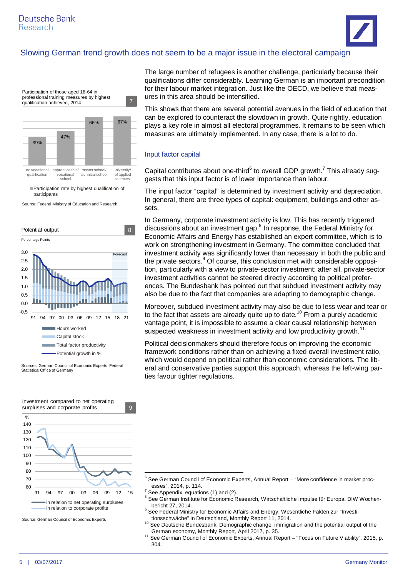

Source: Federal Ministry of Education and Research



Sources: German Council of Economic Experts, Federal Statistical Office of Germany



Source: German Council of Economic Experts

The large number of refugees is another challenge, particularly because their qualifications differ considerably. Learning German is an important precondition for their labour market integration. Just like the OECD, we believe that measures in this area should be intensified.

This shows that there are several potential avenues in the field of education that can be explored to counteract the slowdown in growth. Quite rightly, education plays a key role in almost all electoral programmes. It remains to be seen which measures are ultimately implemented. In any case, there is a lot to do.

#### Input factor capital

Capital contributes about one-third $<sup>6</sup>$  $<sup>6</sup>$  $<sup>6</sup>$  to overall GDP growth[.](#page-4-1)<sup>7</sup> This already sug-</sup> gests that this input factor is of lower importance than labour.

The input factor "capital" is determined by investment activity and depreciation. In general, there are three types of capital: equipment, buildings and other assets.

In Germany, corporate investment activity is low. This has recently triggered discussions about an investment gap.<sup>[8](#page-4-2)</sup> In response, the Federal Ministry for Economic Affairs and Energy has established an expert committee, which is to work on strengthening investment in Germany. The committee concluded that investment activity was significantly lower than necessary in both the public and the private sectors.<sup>[9](#page-4-3)</sup> Of course, this conclusion met with considerable opposition, particularly with a view to private-sector investment: after all, private-sector investment activities cannot be steered directly according to political preferences. The Bundesbank has pointed out that subdued investment activity may also be due to the fact that companies are adapting to demographic change.

Moreover, subdued investment activity may also be due to less wear and tear or to the fact that assets are already quite up to date.<sup>[10](#page-4-4)</sup> From a purely academic vantage point, it is impossible to assume a clear causal relationship between suspected weakness in investment activity and low productivity growth.<sup>[11](#page-4-5)</sup>

Political decisionmakers should therefore focus on improving the economic framework conditions rather than on achieving a fixed overall investment ratio, which would depend on political rather than economic considerations. The liberal and conservative parties support this approach, whereas the left-wing parties favour tighter regulations.

<span id="page-4-0"></span><sup>6</sup> See German Council of Economic Experts, Annual Report – "More confidence in market processes", 2014, p. 114.

<span id="page-4-1"></span><sup>7</sup> See Appendix, equations (1) and (2).

<span id="page-4-2"></span><sup>8</sup> See German Institute for Economic Research, Wirtschaftliche Impulse für Europa, DIW Wochenbericht 27, 2014.

<span id="page-4-3"></span><sup>&</sup>lt;sup>9</sup> See Federal Ministry for Economic Affairs and Energy, Wesentliche Fakten zur "Investitionsschwäche" in Deutschland, Monthly Report 11, 2014.

<span id="page-4-4"></span><sup>10</sup> See Deutsche Bundesbank, Demographic change, immigration and the potential output of the German economy, Monthly Report, April 2017, p. 35.

<span id="page-4-5"></span><sup>11</sup> See German Council of Economic Experts, Annual Report – "Focus on Future Viability", 2015, p. 304.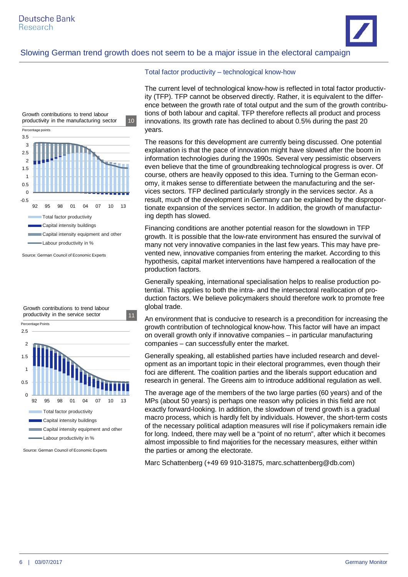



 $\Omega$ 0.5 1 1.5 2 2.5 92 95 98 01 04 07 10 13 Total factor productivity Capital intensity buildings **Capital intensity equipment and other** Labour productivity in % Growth contributions to trend labour productivity in the service sector 11 Percentage Points

Source: German Council of Economic Experts

#### Total factor productivity – technological know-how

The current level of technological know-how is reflected in total factor productivity (TFP). TFP cannot be observed directly. Rather, it is equivalent to the difference between the growth rate of total output and the sum of the growth contributions of both labour and capital. TFP therefore reflects all product and process innovations. Its growth rate has declined to about 0.5% during the past 20 years.

The reasons for this development are currently being discussed. One potential explanation is that the pace of innovation might have slowed after the boom in information technologies during the 1990s. Several very pessimistic observers even believe that the time of groundbreaking technological progress is over. Of course, others are heavily opposed to this idea. Turning to the German economy, it makes sense to differentiate between the manufacturing and the services sectors. TFP declined particularly strongly in the services sector. As a result, much of the development in Germany can be explained by the disproportionate expansion of the services sector. In addition, the growth of manufacturing depth has slowed.

Financing conditions are another potential reason for the slowdown in TFP growth. It is possible that the low-rate environment has ensured the survival of many not very innovative companies in the last few years. This may have prevented new, innovative companies from entering the market. According to this hypothesis, capital market interventions have hampered a reallocation of the production factors.

Generally speaking, international specialisation helps to realise production potential. This applies to both the intra- and the intersectoral reallocation of production factors. We believe policymakers should therefore work to promote free global trade.

An environment that is conducive to research is a precondition for increasing the growth contribution of technological know-how. This factor will have an impact on overall growth only if innovative companies – in particular manufacturing companies – can successfully enter the market.

Generally speaking, all established parties have included research and development as an important topic in their electoral programmes, even though their foci are different. The coalition parties and the liberals support education and research in general. The Greens aim to introduce additional regulation as well.

The average age of the members of the two large parties (60 years) and of the MPs (about 50 years) is perhaps one reason why policies in this field are not exactly forward-looking. In addition, the slowdown of trend growth is a gradual macro process, which is hardly felt by individuals. However, the short-term costs of the necessary political adaption measures will rise if policymakers remain idle for long. Indeed, there may well be a "point of no return", after which it becomes almost impossible to find majorities for the necessary measures, either within the parties or among the electorate.

Marc Schattenberg (+49 69 910-31875, marc.schattenberg@db.com)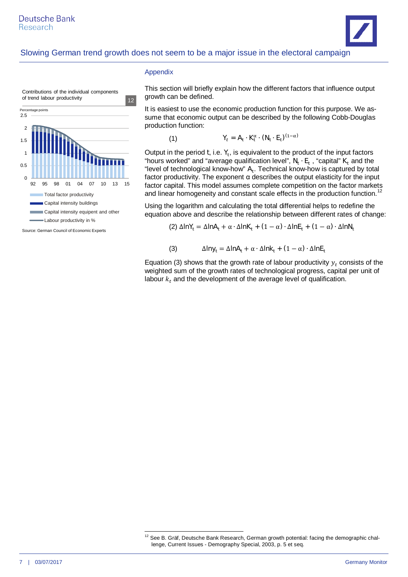



Source: German Council of Economic Experts

#### Appendix

(1)

This section will briefly explain how the different factors that influence output growth can be defined.

It is easiest to use the economic production function for this purpose. We assume that economic output can be described by the following Cobb-Douglas production function:

$$
\mathbf{Y}_t = \mathbf{A}_t \cdot \mathbf{K}_t^{\alpha} \cdot (\mathbf{N}_t \cdot \mathbf{E}_t)^{(1-\alpha)}
$$

Output in the period **t**, i.e.  $Y_t$ , is equivalent to the product of the input factors "hours worked" and "average qualification level",  $N_t \cdot E_t$ , "capital"  $K_t$  and the "level of technological know-how"  $A_t$ . Technical know-how is captured by total factor productivity. The exponent α describes the output elasticity for the input factor capital. This model assumes complete competition on the factor markets and linear homogeneity and constant scale effects in the production function.<sup>[12](#page-6-0)</sup>

Using the logarithm and calculating the total differential helps to redefine the equation above and describe the relationship between different rates of change:

(2)  $\Delta$ lnY<sub>i</sub> =  $\Delta$ lnA<sub>t</sub> + α ⋅  $\Delta$ lnK<sub>t</sub> + (1 − α) ⋅  $\Delta$ lnE<sub>t</sub> + (1 − α) ⋅  $\Delta$ lnN<sub>t</sub>

(3) 
$$
\Delta \text{Iny}_t = \Delta \text{InA}_t + \alpha \cdot \Delta \text{Ink}_t + (1 - \alpha) \cdot \Delta \text{InE}_t
$$

Equation (3) shows that the growth rate of labour productivity  $y_t$  consists of the weighted sum of the growth rates of technological progress, capital per unit of labour  $k_t$  and the development of the average level of qualification.

<span id="page-6-0"></span><sup>&</sup>lt;sup>12</sup> See B. Gräf, Deutsche Bank Research, German growth potential: facing the demographic challenge, Current Issues - Demography Special, 2003, p. 5 et seq.